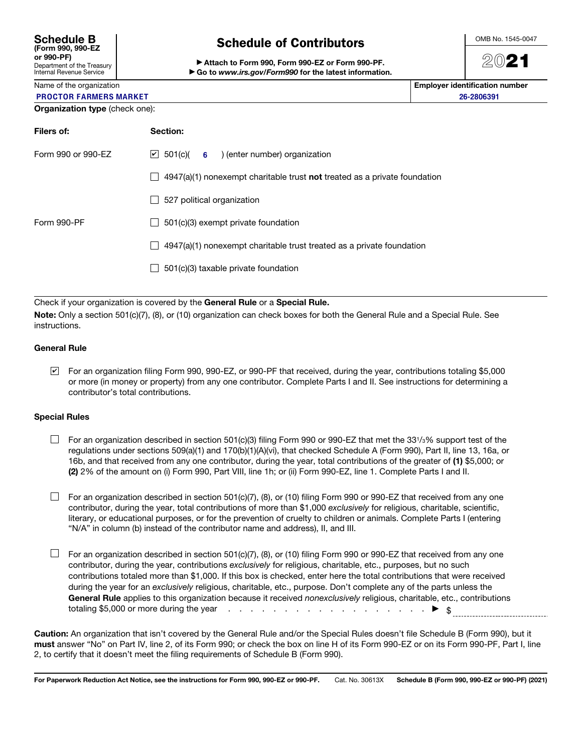| <b>Schedule B</b><br>(Form 990, 990-EZ                        |
|---------------------------------------------------------------|
| or 990-PF)                                                    |
| Department of the Treasury<br><b>Internal Revenue Service</b> |

# Schedule of Contributors

▶ Attach to Form 990, Form 990-EZ or Form 990-PF. ▶ Go to *www.irs.gov/Form990* for the latest information. OMB No. 1545-0047

# 2021

Employer identification number 26-2806391

|  | Name of the organization |  |
|--|--------------------------|--|
|  |                          |  |

## PROCTOR FARMERS MARKET

| Organization type (check one): |  |  |  |
|--------------------------------|--|--|--|
|--------------------------------|--|--|--|

| Filers of:         | Section:                                                                                                |
|--------------------|---------------------------------------------------------------------------------------------------------|
| Form 990 or 990-EZ | $ v $ 501(c)( 6 ) (enter number) organization                                                           |
|                    | $4947(a)(1)$ nonexempt charitable trust not treated as a private foundation<br>$\overline{\phantom{a}}$ |
|                    | 527 political organization<br>$\blacksquare$                                                            |
| Form 990-PF        | 501(c)(3) exempt private foundation<br>$\blacksquare$                                                   |
|                    | 4947(a)(1) nonexempt charitable trust treated as a private foundation<br>$\blacksquare$                 |
|                    | 501(c)(3) taxable private foundation                                                                    |
|                    |                                                                                                         |

Check if your organization is covered by the General Rule or a Special Rule.

Note: Only a section 501(c)(7), (8), or (10) organization can check boxes for both the General Rule and a Special Rule. See instructions.

### General Rule

For an organization filing Form 990, 990-EZ, or 990-PF that received, during the year, contributions totaling \$5,000 ✔or more (in money or property) from any one contributor. Complete Parts I and II. See instructions for determining a contributor's total contributions.

### Special Rules

- $\Box$  For an organization described in section 501(c)(3) filing Form 990 or 990-EZ that met the 331/3% support test of the regulations under sections 509(a)(1) and 170(b)(1)(A)(vi), that checked Schedule A (Form 990), Part II, line 13, 16a, or 16b, and that received from any one contributor, during the year, total contributions of the greater of (1) \$5,000; or (2) 2% of the amount on (i) Form 990, Part VIII, line 1h; or (ii) Form 990-EZ, line 1. Complete Parts I and II.
- $\Box$  For an organization described in section 501(c)(7), (8), or (10) filing Form 990 or 990-EZ that received from any one contributor, during the year, total contributions of more than \$1,000 *exclusively* for religious, charitable, scientific, literary, or educational purposes, or for the prevention of cruelty to children or animals. Complete Parts I (entering "N/A" in column (b) instead of the contributor name and address), II, and III.
- $\Box$  For an organization described in section 501(c)(7), (8), or (10) filing Form 990 or 990-EZ that received from any one contributor, during the year, contributions *exclusively* for religious, charitable, etc., purposes, but no such contributions totaled more than \$1,000. If this box is checked, enter here the total contributions that were received during the year for an *exclusively* religious, charitable, etc., purpose. Don't complete any of the parts unless the General Rule applies to this organization because it received *nonexclusively* religious, charitable, etc., contributions totaling \$5,000 or more during the year  $\cdots$  . . . . . . . . . . . . . . . .  $\blacktriangleright$  \$

Caution: An organization that isn't covered by the General Rule and/or the Special Rules doesn't file Schedule B (Form 990), but it must answer "No" on Part IV, line 2, of its Form 990; or check the box on line H of its Form 990-EZ or on its Form 990-PF, Part I, line 2, to certify that it doesn't meet the filing requirements of Schedule B (Form 990).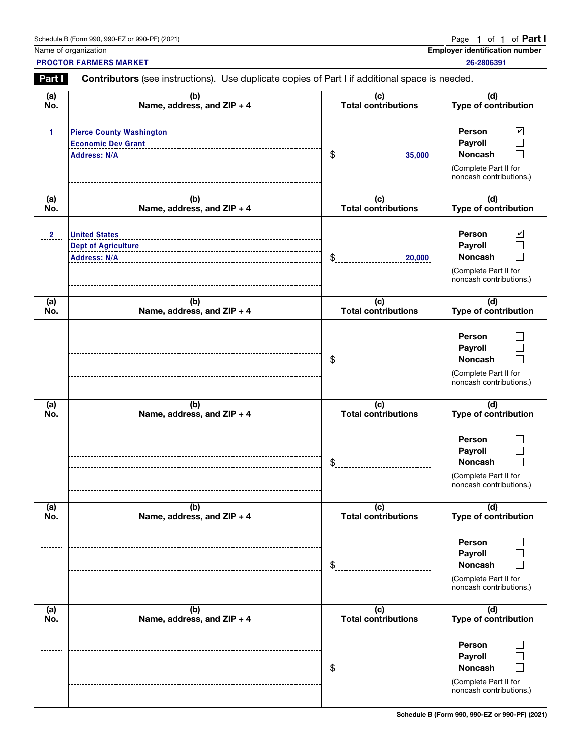| Schedule B (Form 990, 990-EZ or 990-PF) (2021)<br>$\mathcal{L}$ . The contract of the contract of the contract of the contract of the contract of the contract of the contract of the contract of the contract of the contract of the contract of the contract of the contract of th | Page 1 of 1 of <b>Part</b> |  |  |  |  |  |  |  |
|--------------------------------------------------------------------------------------------------------------------------------------------------------------------------------------------------------------------------------------------------------------------------------------|----------------------------|--|--|--|--|--|--|--|
|--------------------------------------------------------------------------------------------------------------------------------------------------------------------------------------------------------------------------------------------------------------------------------------|----------------------------|--|--|--|--|--|--|--|

<u>1 of 1</u>

Name of organization **Employer identification number**  $\blacksquare$ 26-2806391

PROCTOR FARMERS MARKET

Part **Contributors** (see instructions). Use duplicate copies of Part I if additional space is needed.

| (a)                     | (b)                                                                                 | (c)                        | (d)                                                                                                             |
|-------------------------|-------------------------------------------------------------------------------------|----------------------------|-----------------------------------------------------------------------------------------------------------------|
| No.                     | Name, address, and ZIP + 4                                                          | <b>Total contributions</b> | Type of contribution                                                                                            |
| $\mathbf{1}$            | <b>Pierce County Washington</b><br><b>Economic Dev Grant</b><br><b>Address: N/A</b> | \$<br>35,000               | Person<br>$\blacktriangledown$<br>Payroll<br><b>Noncash</b><br>(Complete Part II for<br>noncash contributions.) |
| (a)                     | (b)                                                                                 | (c)                        | (d)                                                                                                             |
| No.                     | Name, address, and ZIP + 4                                                          | <b>Total contributions</b> | Type of contribution                                                                                            |
| $\overline{\mathbf{2}}$ | <b>United States</b><br><b>Dept of Agriculture</b><br><b>Address: N/A</b>           | \$<br>20,000               | Person<br>$\mathbf v$<br>Payroll<br><b>Noncash</b><br>(Complete Part II for<br>noncash contributions.)          |
| (a)                     | (b)                                                                                 | (c)                        | (d)                                                                                                             |
| No.                     | Name, address, and ZIP + 4                                                          | <b>Total contributions</b> | Type of contribution                                                                                            |
|                         |                                                                                     | \$                         | Person<br>Payroll<br><b>Noncash</b><br>(Complete Part II for<br>noncash contributions.)                         |
| (a)                     | (b)                                                                                 | (c)                        | (d)                                                                                                             |
| No.                     | Name, address, and ZIP + 4                                                          | <b>Total contributions</b> | Type of contribution                                                                                            |
|                         |                                                                                     | \$                         | Person<br>Payroll<br><b>Noncash</b><br>(Complete Part II for<br>noncash contributions.)                         |
| (a)                     | (b)                                                                                 | (c)                        | (d)                                                                                                             |
| No.                     | Name, address, and ZIP + 4                                                          | <b>Total contributions</b> | Type of contribution                                                                                            |
|                         |                                                                                     | \$                         | Person<br>Payroll<br><b>Noncash</b><br>(Complete Part II for<br>noncash contributions.)                         |
| (a)                     | (b)                                                                                 | (c)                        | (d)                                                                                                             |
| No.                     | Name, address, and ZIP + 4                                                          | <b>Total contributions</b> | Type of contribution                                                                                            |
|                         |                                                                                     | \$                         | Person<br><b>Payroll</b><br><b>Noncash</b><br>(Complete Part II for<br>noncash contributions.)                  |

Schedule B (Form 990, 990-EZ or 990-PF) (2021)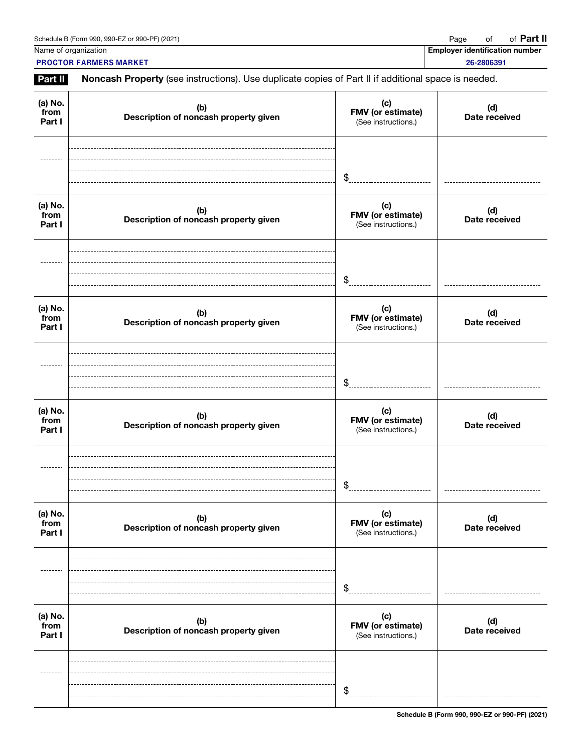Name of organization **Employer identification number**  $\blacksquare$ 

**PROCTOR FARMERS MARKET** 26-2806391

Part II Noncash Property (see instructions). Use duplicate copies of Part II if additional space is needed.

| (a) No.<br>from<br>Part I | (b)<br>Description of noncash property given | (c)<br>FMV (or estimate)<br>(See instructions.) | (d)<br>Date received |
|---------------------------|----------------------------------------------|-------------------------------------------------|----------------------|
|                           |                                              | \$                                              |                      |
| (a) No.<br>from<br>Part I | (b)<br>Description of noncash property given | (c)<br>FMV (or estimate)<br>(See instructions.) | (d)<br>Date received |
|                           |                                              | \$                                              |                      |
| (a) No.<br>from<br>Part I | (b)<br>Description of noncash property given | (c)<br>FMV (or estimate)<br>(See instructions.) | (d)<br>Date received |
|                           |                                              | \$                                              |                      |
| (a) No.<br>from<br>Part I | (b)<br>Description of noncash property given | (c)<br>FMV (or estimate)<br>(See instructions.) | (d)<br>Date received |
|                           |                                              | \$                                              |                      |
| (a) No.<br>from<br>Part I | (b)<br>Description of noncash property given | (c)<br>FMV (or estimate)<br>(See instructions.) | (d)<br>Date received |
|                           |                                              | \$                                              |                      |
| (a) No.<br>from<br>Part I | (b)<br>Description of noncash property given | (c)<br>FMV (or estimate)<br>(See instructions.) | (d)<br>Date received |
|                           |                                              | \$                                              |                      |